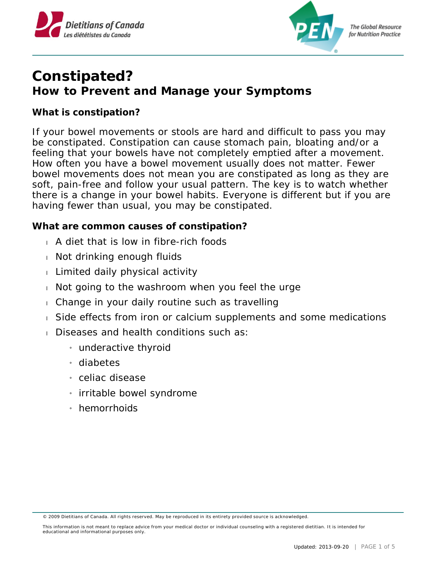



## **Constipated? How to Prevent and Manage your Symptoms**

**What is constipation?**

If your bowel movements or stools are hard and difficult to pass you may be constipated. Constipation can cause stomach pain, bloating and/or a feeling that your bowels have not completely emptied after a movement. How often you have a bowel movement usually does not matter. Fewer bowel movements does not mean you are constipated as long as they are soft, pain-free and follow your usual pattern. The key is to watch whether there is a change in your bowel habits. Everyone is different but if you are having fewer than usual, you may be constipated.

**What are common causes of constipation?**

- A diet that is low in fibre-rich foods
- Not drinking enough fluids
- Limited daily physical activity
- Not going to the washroom when you feel the urge
- Change in your daily routine such as travelling
- Side effects from iron or calcium supplements and some medications
- Diseases and health conditions such as:
	- » underactive thyroid
	- » diabetes
	- » celiac disease
	- » irritable bowel syndrome
	- » hemorrhoids

© 2009 Dietitians of Canada. All rights reserved. May be reproduced in its entirety provided source is acknowledged.

This information is not meant to replace advice from your medical doctor or individual counseling with a registered dietitian. It is intended for educational and informational purposes only.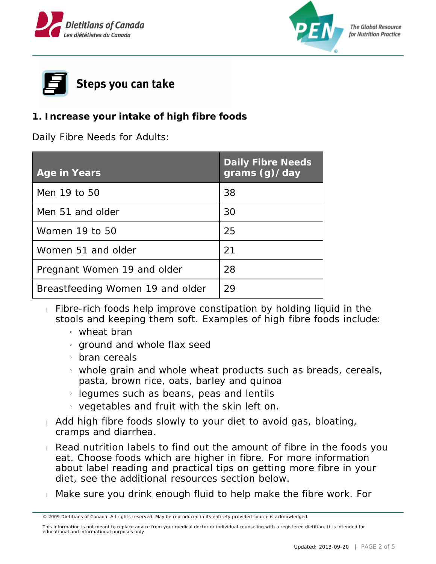





**1. Increase your intake of high fibre foods**

Daily Fibre Needs for Adults:

| Age in Years                     | <b>Daily Fibre Needs</b><br>grams(g)/day |
|----------------------------------|------------------------------------------|
| Men 19 to 50                     | 38                                       |
| Men 51 and older                 | 30                                       |
| Women 19 to 50                   | 25                                       |
| Women 51 and older               | 21                                       |
| Pregnant Women 19 and older      | 28                                       |
| Breastfeeding Women 19 and older | 29                                       |

- $\overline{F}$  Fibre-rich foods help improve constipation by holding liquid in the stools and keeping them soft. Examples of high fibre foods include:
	- » wheat bran
	- » ground and whole flax seed
	- » bran cereals
	- » whole grain and whole wheat products such as breads, cereals, pasta, brown rice, oats, barley and quinoa
	- $_1$  legumes such as beans, peas and lentils
	- » vegetables and fruit with the skin left on.
- Add high fibre foods slowly to your diet to avoid gas, bloating, cramps and diarrhea.
- Read nutrition labels to find out the amount of fibre in the foods you eat. Choose foods which are higher in fibre. For more information about label reading and practical tips on getting more fibre in your diet, see the additional resources section below.
- Make sure you drink enough fluid to help make the fibre work. For

<sup>© 2009</sup> Dietitians of Canada. All rights reserved. May be reproduced in its entirety provided source is acknowledged.

This information is not meant to replace advice from your medical doctor or individual counseling with a registered dietitian. It is intended for educational and informational purposes only.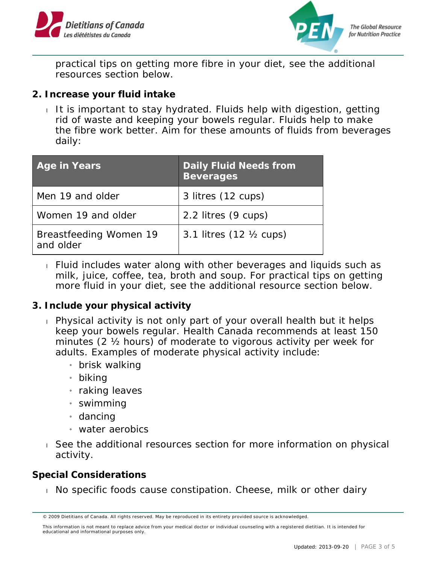



practical tips on getting more fibre in your diet, see the additional resources section below.

- **2. Increase your fluid intake**
	- It is important to stay hydrated. Fluids help with digestion, getting rid of waste and keeping your bowels regular. Fluids help to make the fibre work better. Aim for these amounts of fluids from beverages daily:

| Age in Years                        | <b>Daily Fluid Needs from</b><br><b>Beverages</b> |
|-------------------------------------|---------------------------------------------------|
| Men 19 and older                    | 3 litres (12 cups)                                |
| Women 19 and older                  | 2.2 litres (9 cups)                               |
| Breastfeeding Women 19<br>and older | 3.1 litres (12 1/2 cups)                          |

- Fluid includes water along with other beverages and liquids such as milk, juice, coffee, tea, broth and soup. For practical tips on getting more fluid in your diet, see the additional resource section below.
- **3. Include your physical activity** 
	- Physical activity is not only part of your overall health but it helps keep your bowels regular. Health Canada recommends at least 150 minutes (2 ½ hours) of moderate to vigorous activity per week for adults. Examples of moderate physical activity include:
		- » brisk walking
		- » biking
		- » raking leaves
		- » swimming
		- » dancing
		- » water aerobics
	- See the additional resources section for more information on physical activity.

**Special Considerations**

No specific foods cause constipation. Cheese, milk or other dairy

<sup>© 2009</sup> Dietitians of Canada. All rights reserved. May be reproduced in its entirety provided source is acknowledged.

This information is not meant to replace advice from your medical doctor or individual counseling with a registered dietitian. It is intended for educational and informational purposes only.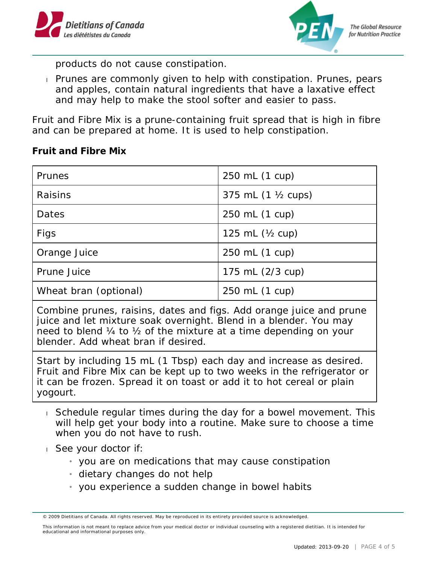



products do not cause constipation.

**Prunes are commonly given to help with constipation. Prunes, pears** and apples, contain natural ingredients that have a laxative effect and may help to make the stool softer and easier to pass.

Fruit and Fibre Mix is a prune-containing fruit spread that is high in fibre and can be prepared at home. It is used to help constipation.

**Fruit and Fibre Mix**

| Prunes                | 250 mL (1 cup)      |
|-----------------------|---------------------|
| Raisins               | 375 mL (1 1/2 cups) |
| Dates                 | 250 mL (1 cup)      |
| Figs                  | 125 mL $(Y_2$ cup)  |
| Orange Juice          | 250 mL (1 cup)      |
| Prune Juice           | 175 mL (2/3 cup)    |
| Wheat bran (optional) | 250 mL (1 cup)      |

Combine prunes, raisins, dates and figs. Add orange juice and prune juice and let mixture soak overnight. Blend in a blender. You may need to blend ¼ to ½ of the mixture at a time depending on your blender. Add wheat bran if desired.

Start by including 15 mL (1 Tbsp) each day and increase as desired. Fruit and Fibre Mix can be kept up to two weeks in the refrigerator or it can be frozen. Spread it on toast or add it to hot cereal or plain yogourt.

- Schedule regular times during the day for a bowel movement. This will help get your body into a routine. Make sure to choose a time when you do not have to rush.
- See your doctor if:
	- $_{1}$  you are on medications that may cause constipation
	- » dietary changes do not help
	- $\frac{1}{1}$  you experience a sudden change in bowel habits

<sup>© 2009</sup> Dietitians of Canada. All rights reserved. May be reproduced in its entirety provided source is acknowledged.

This information is not meant to replace advice from your medical doctor or individual counseling with a registered dietitian. It is intended for educational and informational purposes only.